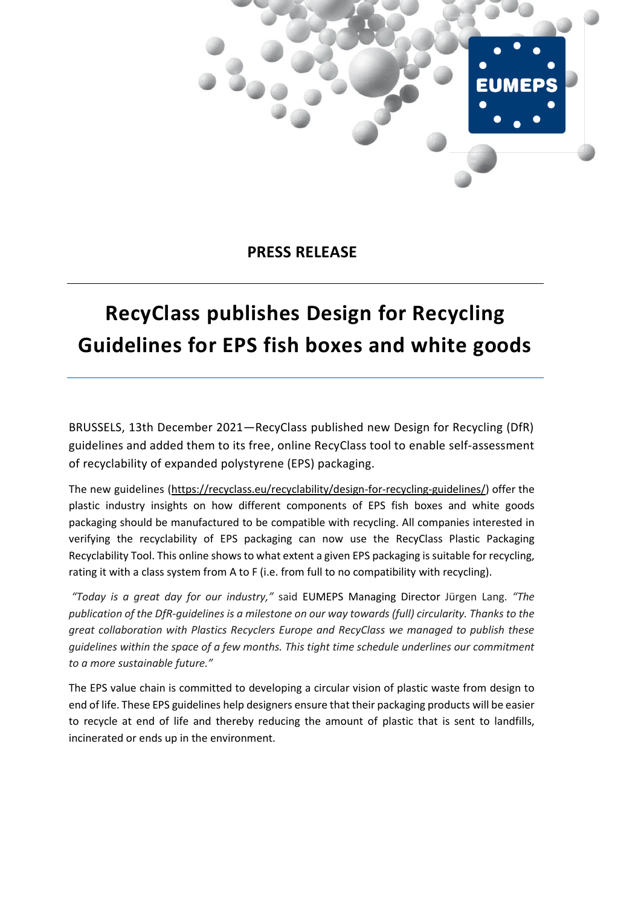

**PRESS RELEASE**

## **RecyClass publishes Design for Recycling Guidelines for EPS fish boxes and white goods**

BRUSSELS, 13th December 2021—RecyClass published new Design for Recycling (DfR) guidelines and added them to its free, online RecyClass tool to enable self-assessment of recyclability of expanded polystyrene (EPS) packaging.

The new guidelines [\(https://recyclass.eu/recyclability/design-for-recycling-guidelines/\)](https://recyclass.eu/recyclability/design-for-recycling-guidelines/) offer the plastic industry insights on how different components of EPS fish boxes and white goods packaging should be manufactured to be compatible with recycling. All companies interested in verifying the recyclability of EPS packaging can now use the RecyClass Plastic Packaging Recyclability Tool. This online shows to what extent a given EPS packaging is suitable for recycling, rating it with a class system from A to F (i.e. from full to no compatibility with recycling).

*"Today is a great day for our industry,"* said EUMEPS Managing Director Jürgen Lang. *"The publication of the DfR-guidelines is a milestone on our way towards (full) circularity. Thanks to the great collaboration with Plastics Recyclers Europe and RecyClass we managed to publish these guidelines within the space of a few months. This tight time schedule underlines our commitment to a more sustainable future."*

The EPS value chain is committed to developing a circular vision of plastic waste from design to end of life. These EPS guidelines help designers ensure that their packaging products will be easier to recycle at end of life and thereby reducing the amount of plastic that is sent to landfills, incinerated or ends up in the environment.